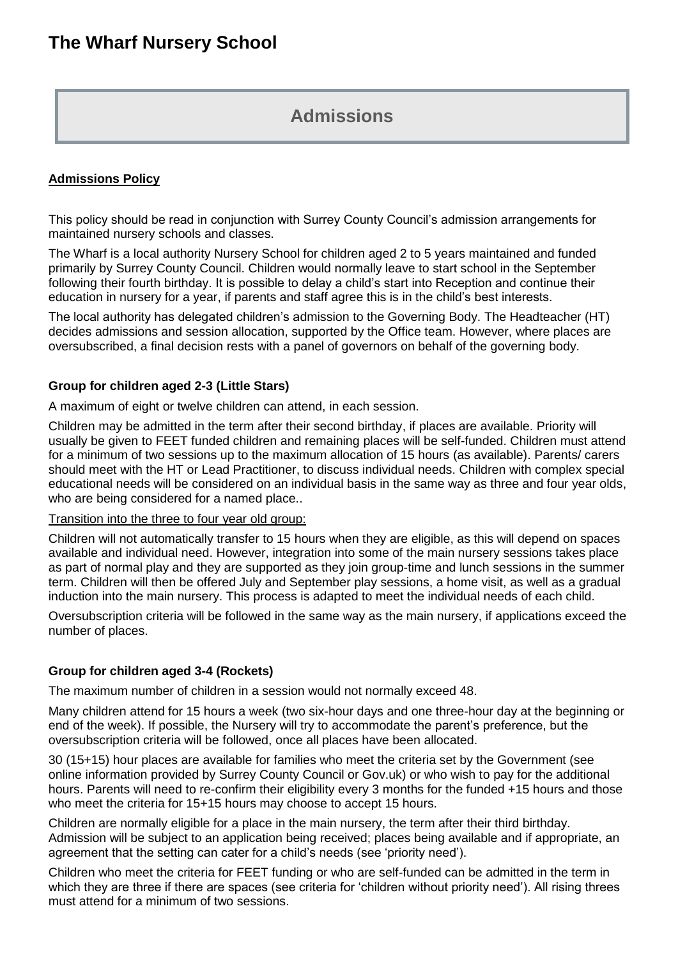# **Admissions**

## **Admissions Policy**

This policy should be read in conjunction with Surrey County Council's admission arrangements for maintained nursery schools and classes.

The Wharf is a local authority Nursery School for children aged 2 to 5 years maintained and funded primarily by Surrey County Council. Children would normally leave to start school in the September following their fourth birthday. It is possible to delay a child's start into Reception and continue their education in nursery for a year, if parents and staff agree this is in the child's best interests.

The local authority has delegated children's admission to the Governing Body. The Headteacher (HT) decides admissions and session allocation, supported by the Office team. However, where places are oversubscribed, a final decision rests with a panel of governors on behalf of the governing body.

## **Group for children aged 2-3 (Little Stars)**

A maximum of eight or twelve children can attend, in each session.

Children may be admitted in the term after their second birthday, if places are available. Priority will usually be given to FEET funded children and remaining places will be self-funded. Children must attend for a minimum of two sessions up to the maximum allocation of 15 hours (as available). Parents/ carers should meet with the HT or Lead Practitioner, to discuss individual needs. Children with complex special educational needs will be considered on an individual basis in the same way as three and four year olds, who are being considered for a named place..

### Transition into the three to four year old group:

Children will not automatically transfer to 15 hours when they are eligible, as this will depend on spaces available and individual need. However, integration into some of the main nursery sessions takes place as part of normal play and they are supported as they join group-time and lunch sessions in the summer term. Children will then be offered July and September play sessions, a home visit, as well as a gradual induction into the main nursery. This process is adapted to meet the individual needs of each child.

Oversubscription criteria will be followed in the same way as the main nursery, if applications exceed the number of places.

#### **Group for children aged 3-4 (Rockets)**

The maximum number of children in a session would not normally exceed 48.

Many children attend for 15 hours a week (two six-hour days and one three-hour day at the beginning or end of the week). If possible, the Nursery will try to accommodate the parent's preference, but the oversubscription criteria will be followed, once all places have been allocated.

30 (15+15) hour places are available for families who meet the criteria set by the Government (see online information provided by Surrey County Council or Gov.uk) or who wish to pay for the additional hours. Parents will need to re-confirm their eligibility every 3 months for the funded +15 hours and those who meet the criteria for 15+15 hours may choose to accept 15 hours.

Children are normally eligible for a place in the main nursery, the term after their third birthday. Admission will be subject to an application being received; places being available and if appropriate, an agreement that the setting can cater for a child's needs (see 'priority need').

Children who meet the criteria for FEET funding or who are self-funded can be admitted in the term in which they are three if there are spaces (see criteria for 'children without priority need'). All rising threes must attend for a minimum of two sessions.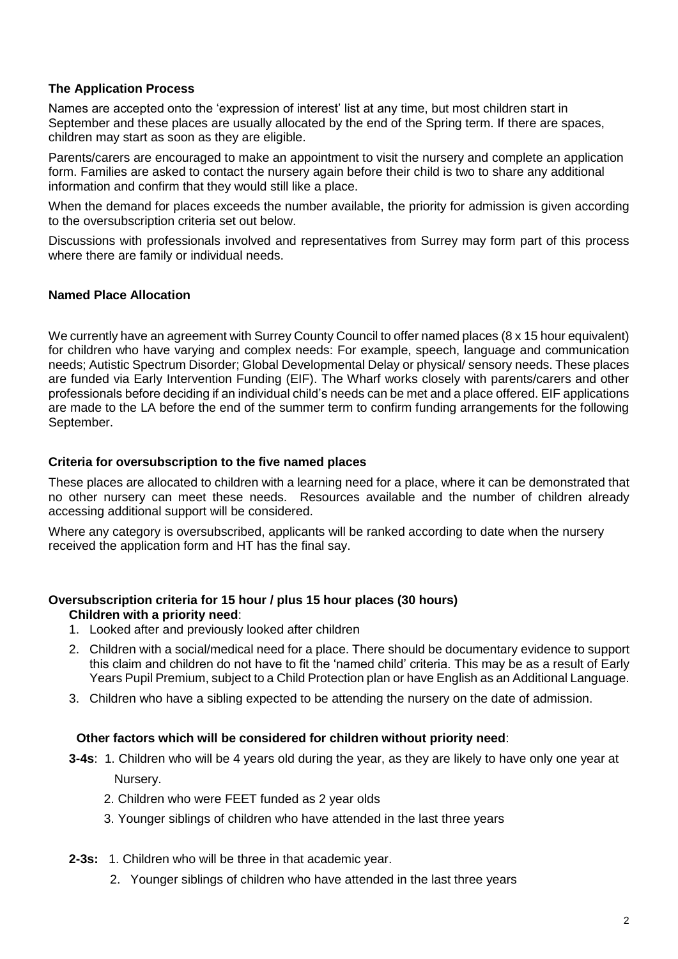## **The Application Process**

Names are accepted onto the 'expression of interest' list at any time, but most children start in September and these places are usually allocated by the end of the Spring term. If there are spaces, children may start as soon as they are eligible.

Parents/carers are encouraged to make an appointment to visit the nursery and complete an application form. Families are asked to contact the nursery again before their child is two to share any additional information and confirm that they would still like a place.

When the demand for places exceeds the number available, the priority for admission is given according to the oversubscription criteria set out below.

Discussions with professionals involved and representatives from Surrey may form part of this process where there are family or individual needs.

#### **Named Place Allocation**

We currently have an agreement with Surrey County Council to offer named places (8 x 15 hour equivalent) for children who have varying and complex needs: For example, speech, language and communication needs; Autistic Spectrum Disorder; Global Developmental Delay or physical/ sensory needs. These places are funded via Early Intervention Funding (EIF). The Wharf works closely with parents/carers and other professionals before deciding if an individual child's needs can be met and a place offered. EIF applications are made to the LA before the end of the summer term to confirm funding arrangements for the following September.

#### **Criteria for oversubscription to the five named places**

These places are allocated to children with a learning need for a place, where it can be demonstrated that no other nursery can meet these needs. Resources available and the number of children already accessing additional support will be considered.

Where any category is oversubscribed, applicants will be ranked according to date when the nursery received the application form and HT has the final say.

#### **Oversubscription criteria for 15 hour / plus 15 hour places (30 hours) Children with a priority need**:

- 1. Looked after and previously looked after children
- 2. Children with a social/medical need for a place. There should be documentary evidence to support this claim and children do not have to fit the 'named child' criteria. This may be as a result of Early Years Pupil Premium, subject to a Child Protection plan or have English as an Additional Language.
- 3. Children who have a sibling expected to be attending the nursery on the date of admission.

#### **Other factors which will be considered for children without priority need**:

- **3-4s**: 1. Children who will be 4 years old during the year, as they are likely to have only one year at Nursery.
	- 2. Children who were FEET funded as 2 year olds
	- 3. Younger siblings of children who have attended in the last three years
- **2-3s:** 1. Children who will be three in that academic year.
	- 2. Younger siblings of children who have attended in the last three years